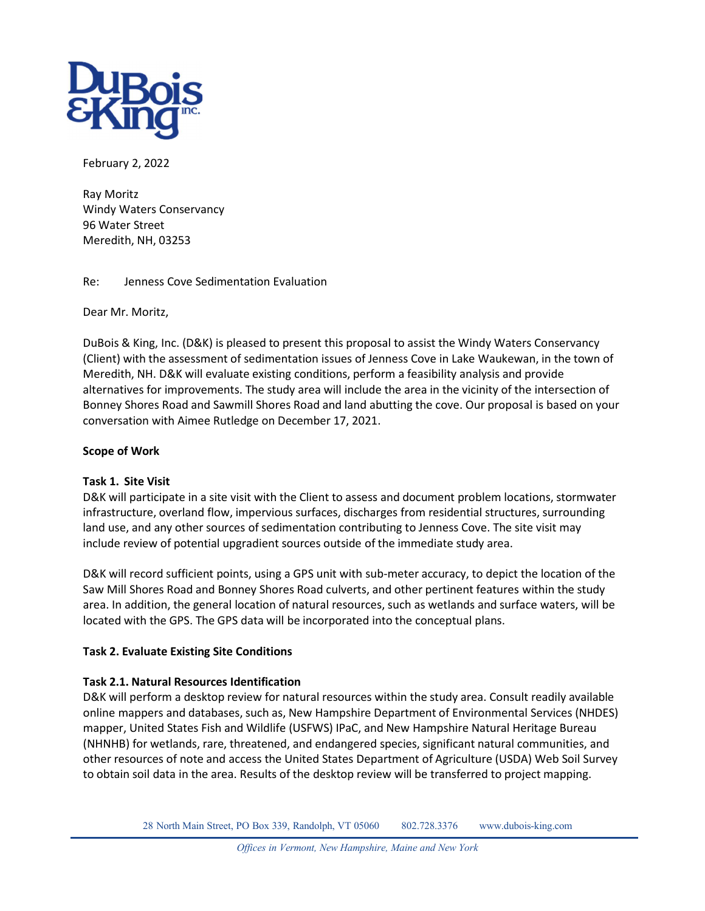

February 2, 2022

Ray Moritz Windy Waters Conservancy 96 Water Street Meredith, NH, 03253

Re: Jenness Cove Sedimentation Evaluation

Dear Mr. Moritz,

DuBois & King, Inc. (D&K) is pleased to present this proposal to assist the Windy Waters Conservancy (Client) with the assessment of sedimentation issues of Jenness Cove in Lake Waukewan, in the town of Meredith, NH. D&K will evaluate existing conditions, perform a feasibility analysis and provide alternatives for improvements. The study area will include the area in the vicinity of the intersection of Bonney Shores Road and Sawmill Shores Road and land abutting the cove. Our proposal is based on your conversation with Aimee Rutledge on December 17, 2021.

## **Scope of Work**

## **Task 1. Site Visit**

D&K will participate in a site visit with the Client to assess and document problem locations, stormwater infrastructure, overland flow, impervious surfaces, discharges from residential structures, surrounding land use, and any other sources of sedimentation contributing to Jenness Cove. The site visit may include review of potential upgradient sources outside of the immediate study area.

D&K will record sufficient points, using a GPS unit with sub-meter accuracy, to depict the location of the Saw Mill Shores Road and Bonney Shores Road culverts, and other pertinent features within the study area. In addition, the general location of natural resources, such as wetlands and surface waters, will be located with the GPS. The GPS data will be incorporated into the conceptual plans.

# **Task 2. Evaluate Existing Site Conditions**

## **Task 2.1. Natural Resources Identification**

D&K will perform a desktop review for natural resources within the study area. Consult readily available online mappers and databases, such as, New Hampshire Department of Environmental Services (NHDES) mapper, United States Fish and Wildlife (USFWS) IPaC, and New Hampshire Natural Heritage Bureau (NHNHB) for wetlands, rare, threatened, and endangered species, significant natural communities, and other resources of note and access the United States Department of Agriculture (USDA) Web Soil Survey to obtain soil data in the area. Results of the desktop review will be transferred to project mapping.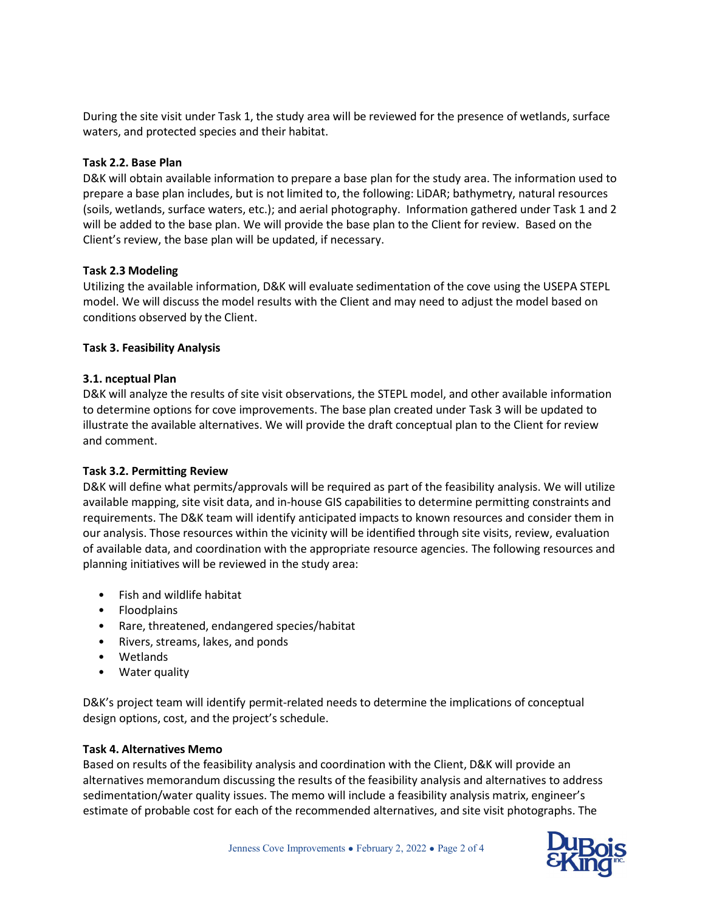During the site visit under Task 1, the study area will be reviewed for the presence of wetlands, surface waters, and protected species and their habitat.

### **Task 2.2. Base Plan**

D&K will obtain available information to prepare a base plan for the study area. The information used to prepare a base plan includes, but is not limited to, the following: LiDAR; bathymetry, natural resources (soils, wetlands, surface waters, etc.); and aerial photography. Information gathered under Task 1 and 2 will be added to the base plan. We will provide the base plan to the Client for review. Based on the Client's review, the base plan will be updated, if necessary.

#### **Task 2.3 Modeling**

Utilizing the available information, D&K will evaluate sedimentation of the cove using the USEPA STEPL model. We will discuss the model results with the Client and may need to adjust the model based on conditions observed by the Client.

## **Task 3. Feasibility Analysis**

#### **3.1. nceptual Plan**

D&K will analyze the results of site visit observations, the STEPL model, and other available information to determine options for cove improvements. The base plan created under Task 3 will be updated to illustrate the available alternatives. We will provide the draft conceptual plan to the Client for review and comment.

## **Task 3.2. Permitting Review**

D&K will define what permits/approvals will be required as part of the feasibility analysis. We will utilize available mapping, site visit data, and in-house GIS capabilities to determine permitting constraints and requirements. The D&K team will identify anticipated impacts to known resources and consider them in our analysis. Those resources within the vicinity will be identified through site visits, review, evaluation of available data, and coordination with the appropriate resource agencies. The following resources and planning initiatives will be reviewed in the study area:

- Fish and wildlife habitat
- Floodplains
- Rare, threatened, endangered species/habitat
- Rivers, streams, lakes, and ponds
- Wetlands
- Water quality

D&K's project team will identify permit-related needs to determine the implications of conceptual design options, cost, and the project's schedule.

## **Task 4. Alternatives Memo**

Based on results of the feasibility analysis and coordination with the Client, D&K will provide an alternatives memorandum discussing the results of the feasibility analysis and alternatives to address sedimentation/water quality issues. The memo will include a feasibility analysis matrix, engineer's estimate of probable cost for each of the recommended alternatives, and site visit photographs. The

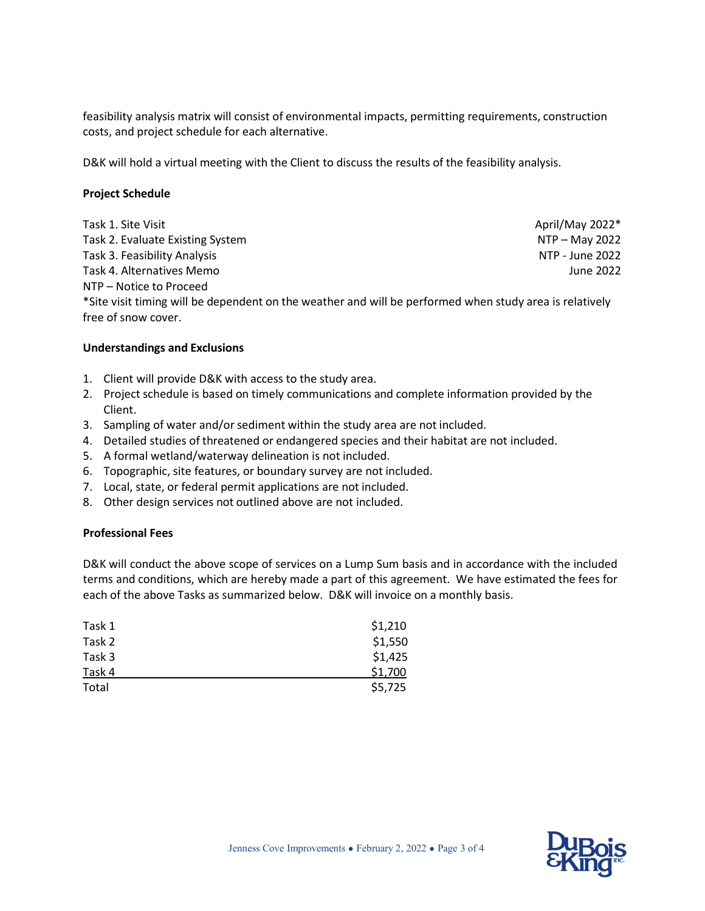feasibility analysis matrix will consist of environmental impacts, permitting requirements, construction costs, and project schedule for each alternative.

D&K will hold a virtual meeting with the Client to discuss the results of the feasibility analysis.

#### **Project Schedule**

Task 1. Site Visit April/May 2022\* Task 2. Evaluate Existing System NTP – May 2022 Task 3. Feasibility Analysis NTP - June 2022 Task 4. Alternatives Memo June 2022 NTP – Notice to Proceed \*Site visit timing will be dependent on the weather and will be performed when study area is relatively free of snow cover.

#### **Understandings and Exclusions**

- 1. Client will provide D&K with access to the study area.
- 2. Project schedule is based on timely communications and complete information provided by the Client.
- 3. Sampling of water and/or sediment within the study area are not included.
- 4. Detailed studies of threatened or endangered species and their habitat are not included.
- 5. A formal wetland/waterway delineation is not included.
- 6. Topographic, site features, or boundary survey are not included.
- 7. Local, state, or federal permit applications are not included.
- 8. Other design services not outlined above are not included.

#### **Professional Fees**

D&K will conduct the above scope of services on a Lump Sum basis and in accordance with the included terms and conditions, which are hereby made a part of this agreement. We have estimated the fees for each of the above Tasks as summarized below. D&K will invoice on a monthly basis.

| Task 1 | \$1,210 |
|--------|---------|
| Task 2 | \$1,550 |
| Task 3 | \$1,425 |
| Task 4 | \$1,700 |
| Total  | \$5,725 |

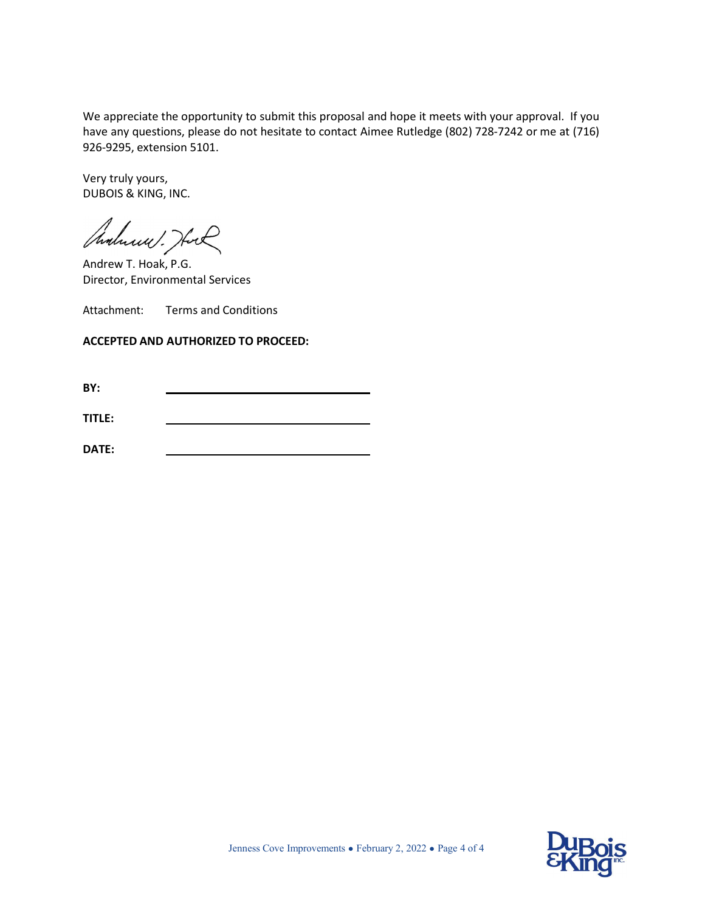We appreciate the opportunity to submit this proposal and hope it meets with your approval. If you have any questions, please do not hesitate to contact Aimee Rutledge (802) 728-7242 or me at (716) 926-9295, extension 5101.

Very truly yours, DUBOIS & KING, INC.

Andrew ! Hock

Andrew T. Hoak, P.G. Director, Environmental Services

Attachment: Terms and Conditions

# **ACCEPTED AND AUTHORIZED TO PROCEED:**

**BY:**

**TITLE:**

**DATE:**

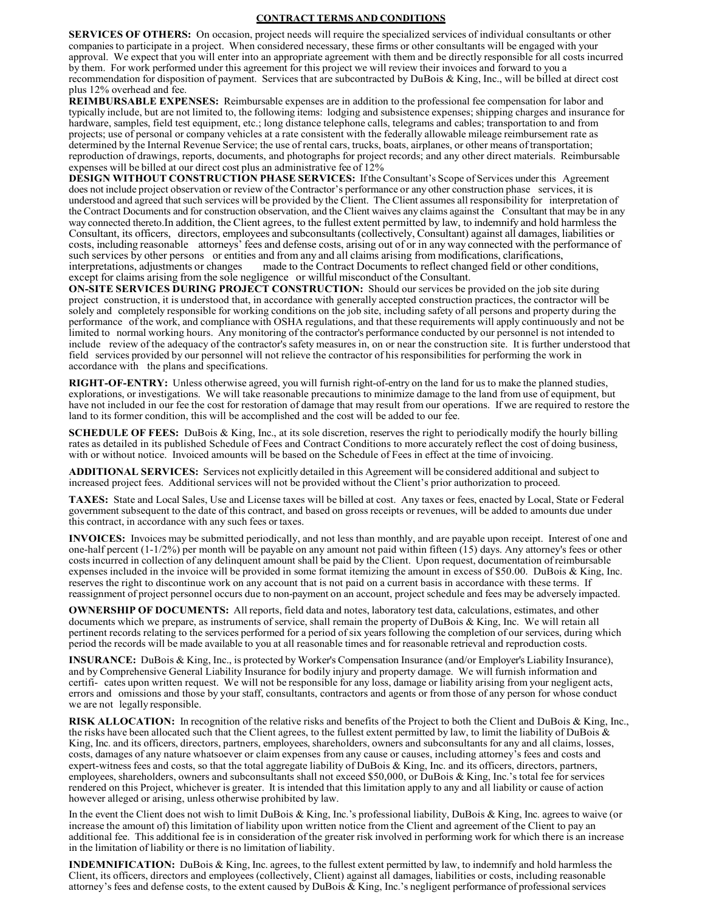#### **CONTRACT TERMS AND CONDITIONS**

**SERVICES OF OTHERS:** On occasion, project needs will require the specialized services of individual consultants or other companiesto participate in a project. When considered necessary, these firms or other consultants will be engaged with your approval. We expect that you will enter into an appropriate agreement with them and be directly responsible for all costs incurred by them. For work performed under this agreement for this project we will review their invoices and forward to you a recommendation for disposition of payment. Services that are subcontracted by DuBois & King, Inc., will be billed at direct cost plus 12% overhead and fee.

**REIMBURSABLE EXPENSES:** Reimbursable expenses are in addition to the professional fee compensation for labor and typically include, but are not limited to, the following items: lodging and subsistence expenses; shipping charges and insurance for hardware, samples, field test equipment, etc.; long distance telephone calls, telegrams and cables; transportation to and from projects; use of personal or company vehicles at a rate consistent with the federally allowable mileage reimbursement rate as determined by the Internal Revenue Service; the use of rental cars, trucks, boats, airplanes, or other means of transportation; reproduction of drawings, reports, documents, and photographs for project records; and any other direct materials. Reimbursable expenses will be billed at our direct cost plus an administrative fee of 12%

**DESIGN WITHOUT CONSTRUCTION PHASE SERVICES:** IftheConsultant's Scope of Services under this Agreement does not include project observation or review of the Contractor's performance or any other construction phase services, it is understood and agreed thatsuch services will be provided by the Client. The Client assumes all responsibility for interpretation of the Contract Documents and for construction observation, and the Client waives any claims against the Consultant that may be in any way connected thereto.In addition, the Client agrees, to the fullest extent permitted by law, to indemnify and hold harmless the Consultant, its officers, directors, employees and subconsultants (collectively, Consultant) against all damages, liabilities or costs, including reasonable attorneys' fees and defense costs, arising out of or in any way connected with the performance of such services by other persons or entities and from any and all claims arising from modifications, clarifications, interpretations, adjustments or changes made to the Contract Documents to reflect changed field or other co made to the Contract Documents to reflect changed field or other conditions, except for claims arising from the sole negligence or willful misconduct of the Consultant.

**ON-SITE SERVICES DURING PROJECT CONSTRUCTION:** Should our services be provided on the job site during project construction, it is understood that, in accordance with generally accepted construction practices, the contractor will be solely and completely responsible for working conditions on the job site, including safety of all persons and property during the performance of the work, and compliance with OSHA regulations, and that these requirements will apply continuously and not be limited to normal working hours. Any monitoring of the contractor's performance conducted by our personnel is not intended to include review of the adequacy of the contractor's safety measures in, on or near the construction site. It is further understood that field services provided by our personnel will not relieve the contractor of his responsibilities for performing the work in accordance with the plans and specifications.

**RIGHT-OF-ENTRY:** Unless otherwise agreed, you will furnish right-of-entry on the land for us to make the planned studies, explorations, or investigations. We will take reasonable precautions to minimize damage to the land from use of equipment, but have not included in our fee the cost for restoration of damage that may result from our operations. If we are required to restore the land to its former condition, this will be accomplished and the cost will be added to our fee.

**SCHEDULE OF FEES:** DuBois & King, Inc., at its sole discretion, reserves the right to periodically modify the hourly billing rates as detailed in its published Schedule of Fees and Contract Conditions to more accurately reflect the cost of doing business, with or without notice. Invoiced amounts will be based on the Schedule of Fees in effect at the time of invoicing.

**ADDITIONAL SERVICES:** Services not explicitly detailed in this Agreement will be considered additional and subject to increased project fees. Additional services will not be provided without the Client's prior authorization to proceed.

**TAXES:** State and Local Sales, Use and License taxes will be billed at cost. Any taxes or fees, enacted by Local, State or Federal government subsequent to the date of this contract, and based on gross receipts or revenues, will be added to amounts due under this contract, in accordance with any such fees or taxes.

**INVOICES:** Invoices may be submitted periodically, and not less than monthly, and are payable upon receipt. Interest of one and one-half percent (1-1/2%) per month will be payable on any amount not paid within fifteen (15) days. Any attorney's fees or other costsincurred in collection of any delinquent amount shall be paid by the Client. Upon request, documentation of reimbursable expenses included in the invoice will be provided in some format itemizing the amount in excess of \$50.00. DuBois & King, Inc. reserves the right to discontinue work on any account that is not paid on a current basis in accordance with these terms. If reassignment of project personnel occurs due to non-payment on an account, project schedule and fees may be adversely impacted.

**OWNERSHIP OF DOCUMENTS:** All reports, field data and notes, laboratory test data, calculations, estimates, and other documents which we prepare, as instruments of service, shall remain the property of DuBois & King, Inc. We will retain all pertinent records relating to the services performed for a period of six yearsfollowing the completion of our services, during which period the records will be made available to you at all reasonable times and for reasonable retrieval and reproduction costs.

**INSURANCE:** DuBois & King, Inc., is protected by Worker's Compensation Insurance (and/or Employer's Liability Insurance), and by Comprehensive General Liability Insurance for bodily injury and property damage. We will furnish information and certifi- cates upon written request. We will not be responsible for any loss, damage or liability arising from your negligent acts, errors and omissions and those by your staff, consultants, contractors and agents or from those of any person for whose conduct we are not legally responsible.

**RISK ALLOCATION:** In recognition of the relative risks and benefits of the Project to both the Client and DuBois & King, Inc., the risks have been allocated such that the Client agrees, to the fullest extent permitted by law, to limit the liability of DuBois & King, Inc. and its officers, directors, partners, employees, shareholders, owners and subconsultants for any and all claims, losses, costs, damages of any nature whatsoever or claim expenses from any cause or causes, including attorney's fees and costs and expert-witness fees and costs, so that the total aggregate liability of DuBois & King, Inc. and its officers, directors, partners, employees, shareholders, owners and subconsultants shall not exceed \$50,000, or DuBois & King, Inc.'s total fee for services rendered on this Project, whichever is greater. It is intended that this limitation apply to any and all liability or cause of action however alleged or arising, unless otherwise prohibited by law.

In the event the Client does not wish to limit DuBois & King, Inc.'s professional liability, DuBois & King, Inc. agrees to waive (or increase the amount of) this limitation of liability upon written notice from the Client and agreement of the Client to pay an additional fee. This additional fee is in consideration of the greater risk involved in performing work for which there is an increase in the limitation of liability or there is no limitation of liability.

**INDEMNIFICATION:** DuBois & King, Inc. agrees, to the fullest extent permitted by law, to indemnify and hold harmless the Client, its officers, directors and employees (collectively, Client) against all damages, liabilities or costs, including reasonable attorney's fees and defense costs, to the extent caused by DuBois & King, Inc.'s negligent performance of professional services